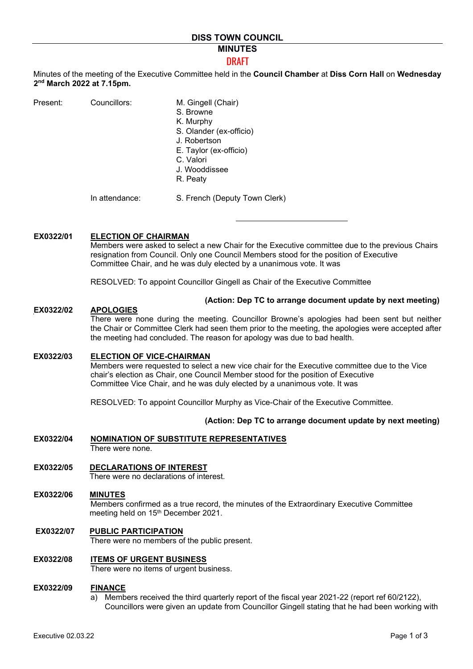# **MINUTES**

## DRAFT

Minutes of the meeting of the Executive Committee held in the **Council Chamber** at **Diss Corn Hall** on **Wednesday 2nd March 2022 at 7.15pm.** 

| Present: | Councillors: | M. Gingell (Chair)      |
|----------|--------------|-------------------------|
|          |              | S. Browne               |
|          |              | K. Murphy               |
|          |              | S. Olander (ex-officio) |

- . Olander (ex-officio) J. Robertson
- E. Taylor (ex-officio)
- C. Valori
- J. Wooddissee
- R. Peaty

In attendance: S. French (Deputy Town Clerk)

# **EX0322/01 ELECTION OF CHAIRMAN**

Members were asked to select a new Chair for the Executive committee due to the previous Chairs resignation from Council. Only one Council Members stood for the position of Executive Committee Chair, and he was duly elected by a unanimous vote. It was

RESOLVED: To appoint Councillor Gingell as Chair of the Executive Committee

### **(Action: Dep TC to arrange document update by next meeting)**

### **EX0322/02 APOLOGIES**

There were none during the meeting. Councillor Browne's apologies had been sent but neither the Chair or Committee Clerk had seen them prior to the meeting, the apologies were accepted after the meeting had concluded. The reason for apology was due to bad health.

### **EX0322/03 ELECTION OF VICE-CHAIRMAN**

Members were requested to select a new vice chair for the Executive committee due to the Vice chair's election as Chair, one Council Member stood for the position of Executive Committee Vice Chair, and he was duly elected by a unanimous vote. It was

RESOLVED: To appoint Councillor Murphy as Vice-Chair of the Executive Committee.

## **(Action: Dep TC to arrange document update by next meeting)**

- **EX0322/04 NOMINATION OF SUBSTITUTE REPRESENTATIVES** There were none.
- **EX0322/05 DECLARATIONS OF INTEREST** There were no declarations of interest.
- **EX0322/06 MINUTES** Members confirmed as a true record, the minutes of the Extraordinary Executive Committee meeting held on 15<sup>th</sup> December 2021.

## **EX0322/07 PUBLIC PARTICIPATION**

There were no members of the public present.

# **EX0322/08 ITEMS OF URGENT BUSINESS**

There were no items of urgent business.

### **EX0322/09 FINANCE**

a) Members received the third quarterly report of the fiscal year 2021-22 (report ref 60/2122), Councillors were given an update from Councillor Gingell stating that he had been working with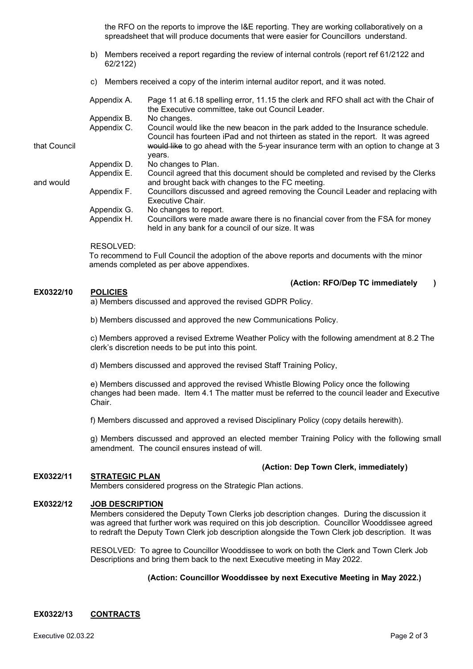the RFO on the reports to improve the I&E reporting. They are working collaboratively on a spreadsheet that will produce documents that were easier for Councillors understand.

- b) Members received a report regarding the review of internal controls (report ref 61/2122 and 62/2122)
- c) Members received a copy of the interim internal auditor report, and it was noted.

|              | Appendix A. | Page 11 at 6.18 spelling error, 11.15 the clerk and RFO shall act with the Chair of<br>the Executive committee, take out Council Leader.                            |
|--------------|-------------|---------------------------------------------------------------------------------------------------------------------------------------------------------------------|
|              | Appendix B. | No changes.                                                                                                                                                         |
|              | Appendix C. | Council would like the new beacon in the park added to the Insurance schedule.<br>Council has fourteen iPad and not thirteen as stated in the report. It was agreed |
| that Council |             | would like to go ahead with the 5-year insurance term with an option to change at 3<br>years.                                                                       |
|              | Appendix D. | No changes to Plan.                                                                                                                                                 |
| and would    | Appendix E. | Council agreed that this document should be completed and revised by the Clerks<br>and brought back with changes to the FC meeting.                                 |
|              | Appendix F. | Councillors discussed and agreed removing the Council Leader and replacing with<br>Executive Chair.                                                                 |
|              | Appendix G. | No changes to report.                                                                                                                                               |
|              | Appendix H. | Councillors were made aware there is no financial cover from the FSA for money<br>held in any bank for a council of our size. It was                                |

### RESOLVED:

To recommend to Full Council the adoption of the above reports and documents with the minor amends completed as per above appendixes.

#### **(Action: RFO/Dep TC immediately )**   $E X 0322/10$

a) Members discussed and approved the revised GDPR Policy.

b) Members discussed and approved the new Communications Policy.

c) Members approved a revised Extreme Weather Policy with the following amendment at 8.2 The clerk's discretion needs to be put into this point.

d) Members discussed and approved the revised Staff Training Policy,

e) Members discussed and approved the revised Whistle Blowing Policy once the following changes had been made. Item 4.1 The matter must be referred to the council leader and Executive Chair.

f) Members discussed and approved a revised Disciplinary Policy (copy details herewith).

g) Members discussed and approved an elected member Training Policy with the following small amendment. The council ensures instead of will.

## **(Action: Dep Town Clerk, immediately )**

# **EX0322/11 STRATEGIC PLAN**

Members considered progress on the Strategic Plan actions.

# **EX0322/12 JOB DESCRIPTION**

Members considered the Deputy Town Clerks job description changes. During the discussion it was agreed that further work was required on this job description. Councillor Wooddissee agreed to redraft the Deputy Town Clerk job description alongside the Town Clerk job description. It was

RESOLVED: To agree to Councillor Wooddissee to work on both the Clerk and Town Clerk Job Descriptions and bring them back to the next Executive meeting in May 2022.

# **(Action: Councillor Wooddissee by next Executive Meeting in May 2022.)**

# **EX0322/13 CONTRACTS**